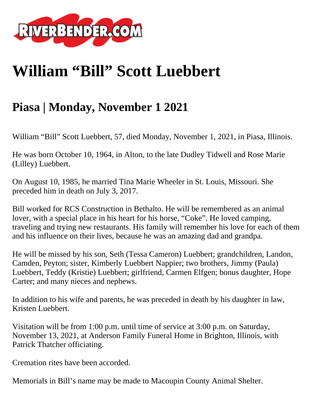

## **William "Bill" Scott Luebbert**

## **Piasa | Monday, November 1 2021**

William "Bill" Scott Luebbert, 57, died Monday, November 1, 2021, in Piasa, Illinois.

He was born October 10, 1964, in Alton, to the late Dudley Tidwell and Rose Marie (Lilley) Luebbert.

On August 10, 1985, he married Tina Marie Wheeler in St. Louis, Missouri. She preceded him in death on July 3, 2017.

Bill worked for RCS Construction in Bethalto. He will be remembered as an animal lover, with a special place in his heart for his horse, "Coke". He loved camping, traveling and trying new restaurants. His family will remember his love for each of them and his influence on their lives, because he was an amazing dad and grandpa.

He will be missed by his son, Seth (Tessa Cameron) Luebbert; grandchildren, Landon, Camden, Peyton; sister, Kimberly Luebbert Nappier; two brothers, Jimmy (Paula) Luebbert, Teddy (Kristie) Luebbert; girlfriend, Carmen Elfgen; bonus daughter, Hope Carter; and many nieces and nephews.

In addition to his wife and parents, he was preceded in death by his daughter in law, Kristen Luebbert.

Visitation will be from 1:00 p.m. until time of service at 3:00 p.m. on Saturday, November 13, 2021, at Anderson Family Funeral Home in Brighton, Illinois, with Patrick Thatcher officiating.

Cremation rites have been accorded.

Memorials in Bill's name may be made to Macoupin County Animal Shelter.